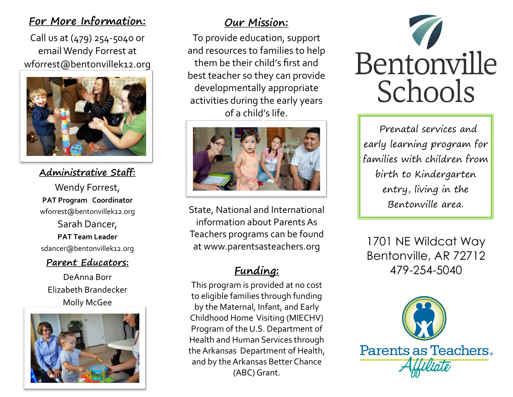#### **For More Information:**

Call us at (479) 254-5040 or email Wendy Forrest at [wforrest@bentonvillek12.org](http://www.google.com/url?sa=i&rct=j&q=home+visiting&source=images&cd=&cad=rja&uact=8&ved=0ahUKEwjOjMXUqtfLAhVGroMKHenGCo0QjRwIBw&url=http%3A%2F%2Fflmiechv.com%2F&bvm=bv.117218890,d.amc&psig=AFQjCNGFbNV34juiidskseVu2mBPn2rrpA&ust=1458840542592018) 



**Administrative Staff:**

Wendy Forrest, **PAT Program Coordinator** wforrest@bentonvillek12.org Sarah Dancer, **PAT Team Leader** sdancer@bentonvillek12.org

#### **Parent Educators:**

DeAnna Borr Elizabeth Brandecker [Molly McGee](http://www.google.com/url?sa=i&rct=j&q=home+visiting&source=images&cd=&cad=rja&uact=8&ved=0ahUKEwjd5Nvqq9fLAhXDsYMKHR88BcEQjRwIBw&url=https%3A%2F%2Fwww.scottcountymn.gov%2F1231%2FPublic-Health-Home-Visiting&bvm=bv.117218890,d.amc&psig=AFQjCNFQdr2lf7xPbub)



## **Our Mission:**

To provide education, support and resources to families to help them be their child's first and best teacher so they can provide developmentally appropriate activities during the early years [of a child's life.](http://www.google.com/url?sa=i&rct=j&q=home+visiting&source=images&cd=&cad=rja&uact=8&ved=0ahUKEwit9-TkqtfLAhWCmoMKHXxsDVUQjRwIBw&url=http%3A%2F%2Fwww.raisingnebraska.org%2Fhome-visiting&bvm=bv.117218890,d.amc&psig=AFQjCNGFbNV34juiidskseVu2mBPn2rrpA&ust=)



State, National and International information about Parents As Teachers programs can be found at www.parentsasteachers.org

# **Funding:**

This program is provided at no cost to eligible families through funding by the Maternal, Infant, and Early Childhood Home Visiting (MIECHV) Program of the U.S. Department of Health and Human Services through the Arkansas Department of Health, and by the Arkansas Better Chance (ABC) Grant.



Prenatal services and early learning program for families with children from birth to Kindergarten entry, living in the Bentonville area.

1701 NE Wildcat Way Bentonville, AR 72712 479-254-5040